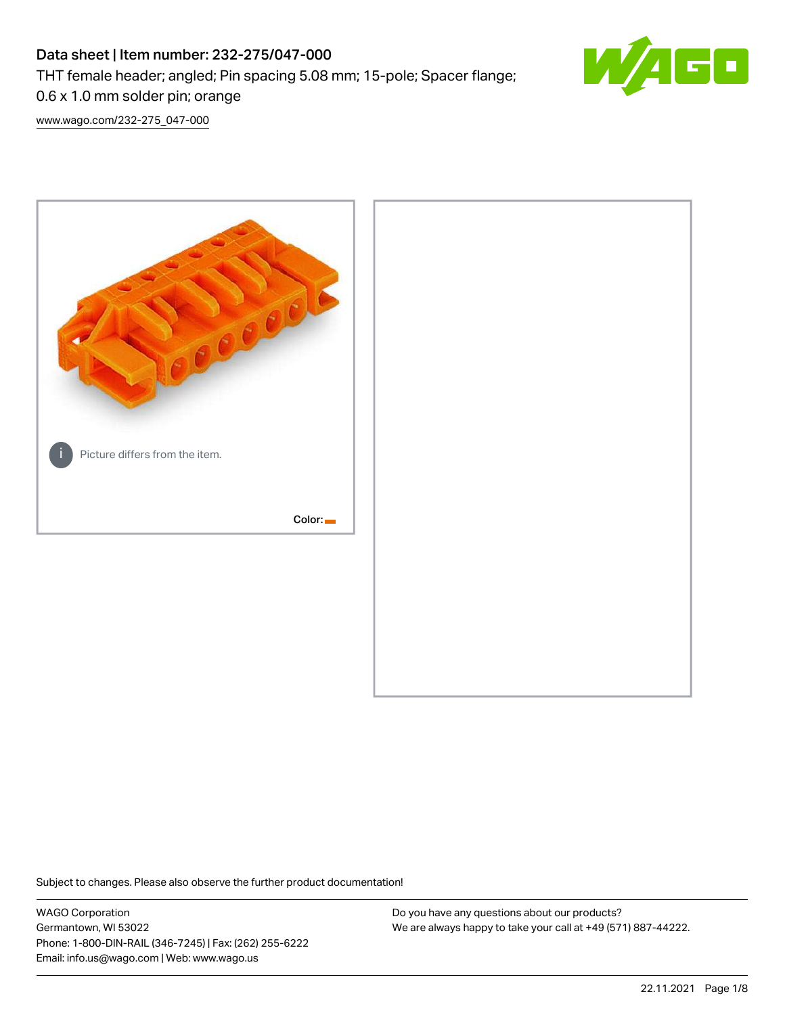# Data sheet | Item number: 232-275/047-000 THT female header; angled; Pin spacing 5.08 mm; 15-pole; Spacer flange; 0.6 x 1.0 mm solder pin; orange



[www.wago.com/232-275\\_047-000](http://www.wago.com/232-275_047-000)



Subject to changes. Please also observe the further product documentation!

WAGO Corporation Germantown, WI 53022 Phone: 1-800-DIN-RAIL (346-7245) | Fax: (262) 255-6222 Email: info.us@wago.com | Web: www.wago.us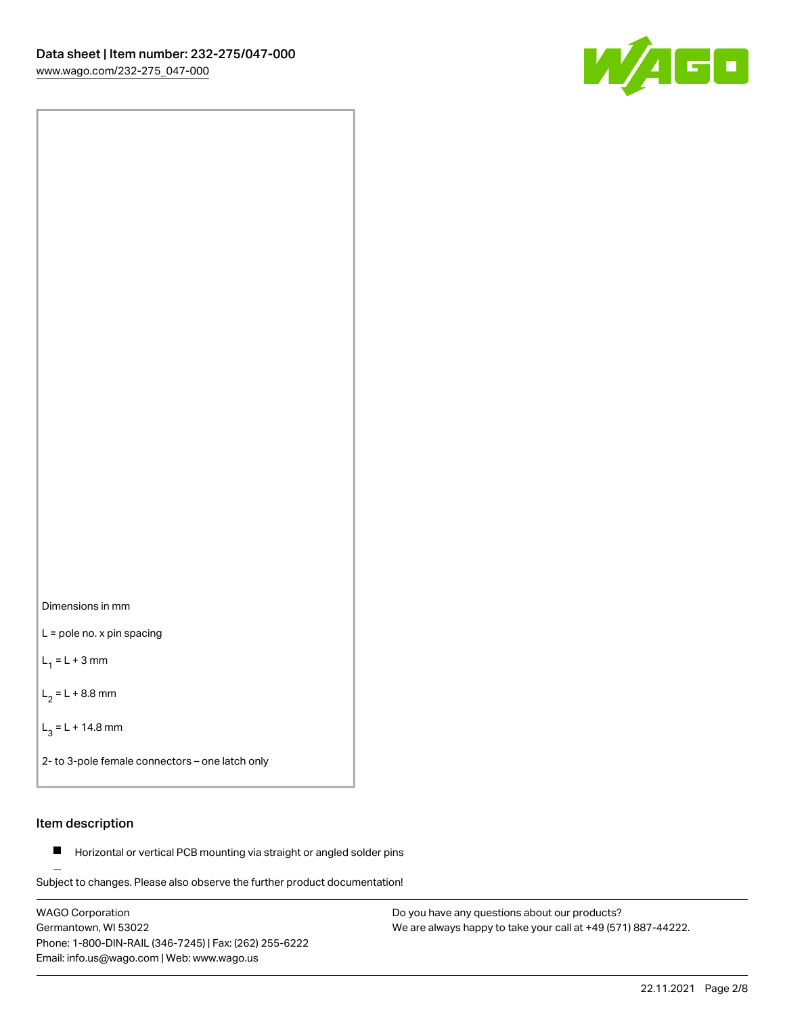



L = pole no. x pin spacing

 $L_1 = L + 3$  mm

 $L_2 = L + 8.8$  mm

 $L_3 = L + 14.8$  mm

2- to 3-pole female connectors – one latch only

# Item description

**Horizontal or vertical PCB mounting via straight or angled solder pins** 

Subject to changes. Please also observe the further product documentation! For board-to-board and board-to-wire connections

WAGO Corporation Germantown, WI 53022 Phone: 1-800-DIN-RAIL (346-7245) | Fax: (262) 255-6222 Email: info.us@wago.com | Web: www.wago.us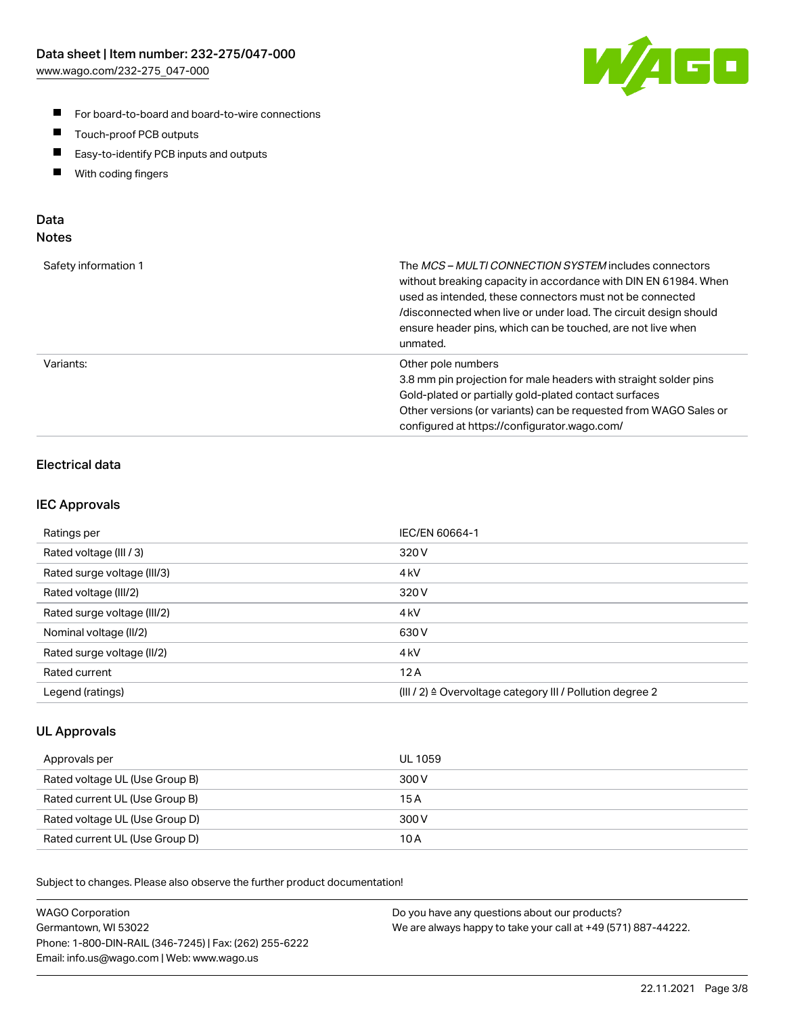

- For board-to-board and board-to-wire connections
- $\blacksquare$ Touch-proof PCB outputs
- $\blacksquare$ Easy-to-identify PCB inputs and outputs
- $\blacksquare$ With coding fingers

### Data **Notes**

| Safety information 1 | The <i>MCS – MULTI CONNECTION SYSTEM</i> includes connectors<br>without breaking capacity in accordance with DIN EN 61984. When<br>used as intended, these connectors must not be connected<br>/disconnected when live or under load. The circuit design should<br>ensure header pins, which can be touched, are not live when<br>unmated. |
|----------------------|--------------------------------------------------------------------------------------------------------------------------------------------------------------------------------------------------------------------------------------------------------------------------------------------------------------------------------------------|
| Variants:            | Other pole numbers<br>3.8 mm pin projection for male headers with straight solder pins<br>Gold-plated or partially gold-plated contact surfaces<br>Other versions (or variants) can be requested from WAGO Sales or<br>configured at https://configurator.wago.com/                                                                        |

# Electrical data

### IEC Approvals

| Ratings per                 | IEC/EN 60664-1                                                        |
|-----------------------------|-----------------------------------------------------------------------|
| Rated voltage (III / 3)     | 320 V                                                                 |
| Rated surge voltage (III/3) | 4 <sub>k</sub> V                                                      |
| Rated voltage (III/2)       | 320 V                                                                 |
| Rated surge voltage (III/2) | 4 <sub>k</sub> V                                                      |
| Nominal voltage (II/2)      | 630 V                                                                 |
| Rated surge voltage (II/2)  | 4 <sub>kV</sub>                                                       |
| Rated current               | 12A                                                                   |
| Legend (ratings)            | $(III / 2)$ $\triangle$ Overvoltage category III / Pollution degree 2 |

### UL Approvals

| Approvals per                  | UL 1059 |
|--------------------------------|---------|
| Rated voltage UL (Use Group B) | 300 V   |
| Rated current UL (Use Group B) | 15 A    |
| Rated voltage UL (Use Group D) | 300 V   |
| Rated current UL (Use Group D) | 10 A    |

Subject to changes. Please also observe the further product documentation!

| <b>WAGO Corporation</b>                                | Do you have any questions about our products?                 |
|--------------------------------------------------------|---------------------------------------------------------------|
| Germantown, WI 53022                                   | We are always happy to take your call at +49 (571) 887-44222. |
| Phone: 1-800-DIN-RAIL (346-7245)   Fax: (262) 255-6222 |                                                               |
| Email: info.us@wago.com   Web: www.wago.us             |                                                               |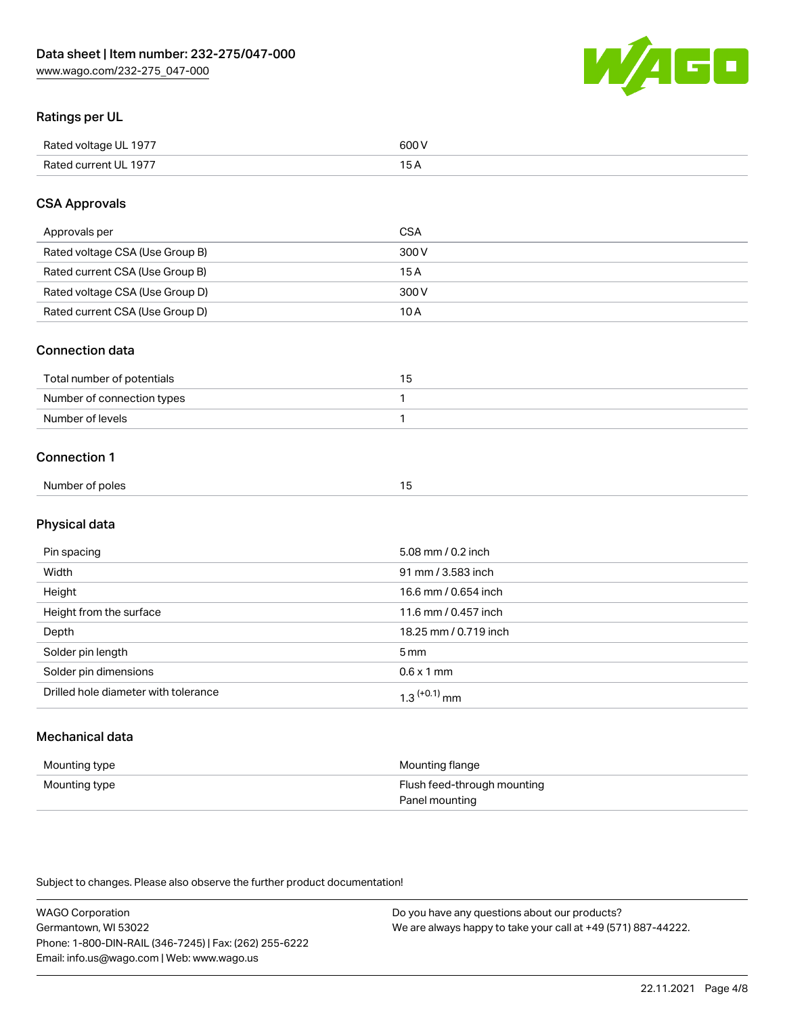WAGO

# Ratings per UL

| Rated voltage UL 1977 | 600 \<br>.   |
|-----------------------|--------------|
| Rated current UL 1977 | . . <i>.</i> |

# CSA Approvals

| Approvals per                   | CSA   |
|---------------------------------|-------|
| Rated voltage CSA (Use Group B) | 300 V |
| Rated current CSA (Use Group B) | 15 A  |
| Rated voltage CSA (Use Group D) | 300 V |
| Rated current CSA (Use Group D) | 10 A  |

### Connection data

| Total number of potentials |  |
|----------------------------|--|
| Number of connection types |  |
| Number of levels           |  |

#### Connection 1

| Number of poles<br>ີ |
|----------------------|
|----------------------|

# Physical data

| Pin spacing                          | 5.08 mm / 0.2 inch    |
|--------------------------------------|-----------------------|
| Width                                | 91 mm / 3.583 inch    |
| Height                               | 16.6 mm / 0.654 inch  |
| Height from the surface              | 11.6 mm / 0.457 inch  |
| Depth                                | 18.25 mm / 0.719 inch |
| Solder pin length                    | 5 <sub>mm</sub>       |
| Solder pin dimensions                | $0.6 \times 1$ mm     |
| Drilled hole diameter with tolerance | $1.3$ $(+0.1)$ mm     |

# Mechanical data

| Mounting type | Mounting flange             |
|---------------|-----------------------------|
| Mounting type | Flush feed-through mounting |
|               | Panel mounting              |

Subject to changes. Please also observe the further product documentation!

| <b>WAGO Corporation</b>                                | Do you have any questions about our products?                 |
|--------------------------------------------------------|---------------------------------------------------------------|
| Germantown, WI 53022                                   | We are always happy to take your call at +49 (571) 887-44222. |
| Phone: 1-800-DIN-RAIL (346-7245)   Fax: (262) 255-6222 |                                                               |
| Email: info.us@wago.com   Web: www.wago.us             |                                                               |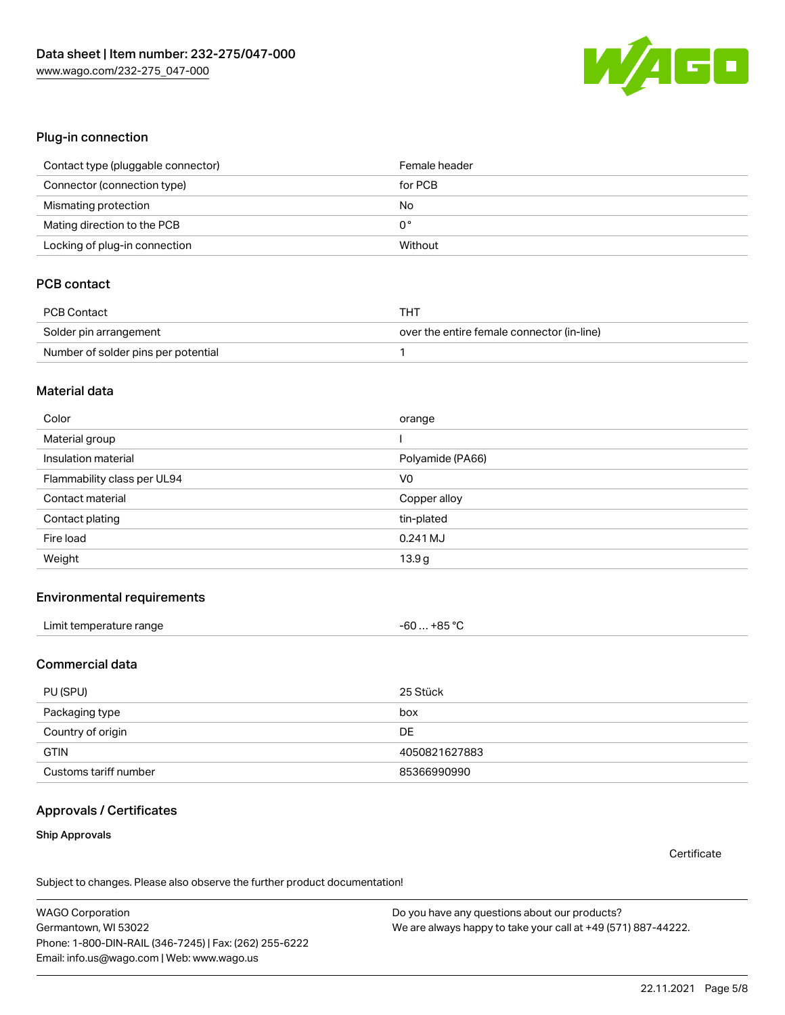

#### Plug-in connection

| Contact type (pluggable connector) | Female header |
|------------------------------------|---------------|
| Connector (connection type)        | for PCB       |
| Mismating protection               | No            |
| Mating direction to the PCB        | 0°            |
| Locking of plug-in connection      | Without       |

# PCB contact

| PCB Contact                         | THT                                        |
|-------------------------------------|--------------------------------------------|
| Solder pin arrangement              | over the entire female connector (in-line) |
| Number of solder pins per potential |                                            |

#### Material data

| Color                       | orange           |
|-----------------------------|------------------|
| Material group              |                  |
| Insulation material         | Polyamide (PA66) |
| Flammability class per UL94 | V <sub>0</sub>   |
| Contact material            | Copper alloy     |
|                             |                  |
| Contact plating             | tin-plated       |
| Fire load                   | $0.241$ MJ       |

#### Environmental requirements

| Limit temperature range | $-60+85 °C$ |  |
|-------------------------|-------------|--|
|-------------------------|-------------|--|

#### Commercial data

| PU (SPU)              | 25 Stück      |
|-----------------------|---------------|
| Packaging type        | box           |
| Country of origin     | DE            |
| <b>GTIN</b>           | 4050821627883 |
| Customs tariff number | 85366990990   |

### Approvals / Certificates

#### Ship Approvals

**Certificate** 

Subject to changes. Please also observe the further product documentation!

WAGO Corporation Germantown, WI 53022 Phone: 1-800-DIN-RAIL (346-7245) | Fax: (262) 255-6222 Email: info.us@wago.com | Web: www.wago.us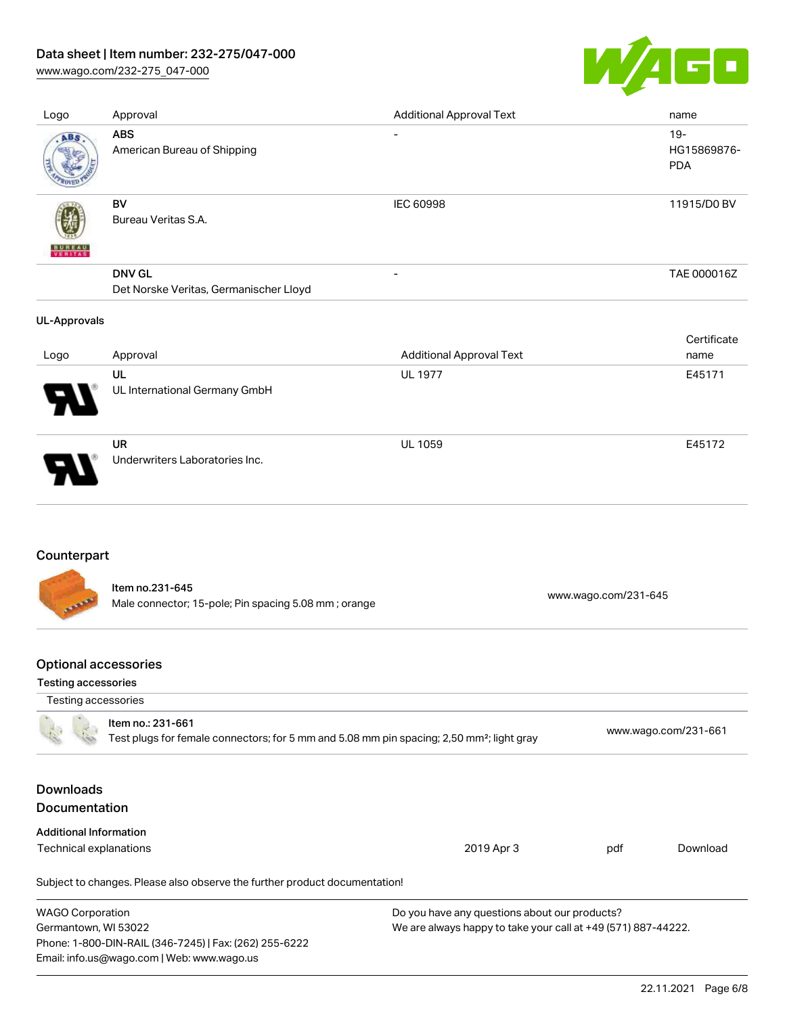# Data sheet | Item number: 232-275/047-000

[www.wago.com/232-275\\_047-000](http://www.wago.com/232-275_047-000)



| Logo                | Approval                                                | <b>Additional Approval Text</b> | name                                |
|---------------------|---------------------------------------------------------|---------------------------------|-------------------------------------|
| ABS                 | <b>ABS</b><br>American Bureau of Shipping               | $\overline{\phantom{0}}$        | $19 -$<br>HG15869876-<br><b>PDA</b> |
| VERITAS             | BV<br>Bureau Veritas S.A.                               | <b>IEC 60998</b>                | 11915/D0 BV                         |
|                     | <b>DNV GL</b><br>Det Norske Veritas, Germanischer Lloyd | $\overline{\phantom{a}}$        | TAE 000016Z                         |
|                     |                                                         |                                 |                                     |
| <b>UL-Approvals</b> |                                                         |                                 |                                     |
| Logo                | Approval                                                | <b>Additional Approval Text</b> | Certificate<br>name                 |
|                     | UL<br>UL International Germany GmbH                     | <b>UL 1977</b>                  | E45171                              |

# Counterpart

Item no.231-645 Male connector; 15-pole; Pin spacing 5.08 mm ; orange [www.wago.com/231-645](https://www.wago.com/231-645)

# Optional accessories

Email: info.us@wago.com | Web: www.wago.us

#### Testing accessories

| Testing accessories                                                                                                        |                                                                            |                                                               |                      |          |
|----------------------------------------------------------------------------------------------------------------------------|----------------------------------------------------------------------------|---------------------------------------------------------------|----------------------|----------|
| Item no.: 231-661<br>Test plugs for female connectors; for 5 mm and 5.08 mm pin spacing; 2,50 mm <sup>2</sup> ; light gray |                                                                            |                                                               | www.wago.com/231-661 |          |
| <b>Downloads</b><br><b>Documentation</b>                                                                                   |                                                                            |                                                               |                      |          |
| <b>Additional Information</b>                                                                                              |                                                                            |                                                               |                      |          |
| Technical explanations                                                                                                     |                                                                            | 2019 Apr 3                                                    | pdf                  | Download |
|                                                                                                                            | Subject to changes. Please also observe the further product documentation! |                                                               |                      |          |
| <b>WAGO Corporation</b>                                                                                                    |                                                                            | Do you have any questions about our products?                 |                      |          |
| Germantown, WI 53022                                                                                                       |                                                                            | We are always happy to take your call at +49 (571) 887-44222. |                      |          |
|                                                                                                                            | Phone: 1-800-DIN-RAIL (346-7245)   Fax: (262) 255-6222                     |                                                               |                      |          |
|                                                                                                                            |                                                                            |                                                               |                      |          |

22.11.2021 Page 6/8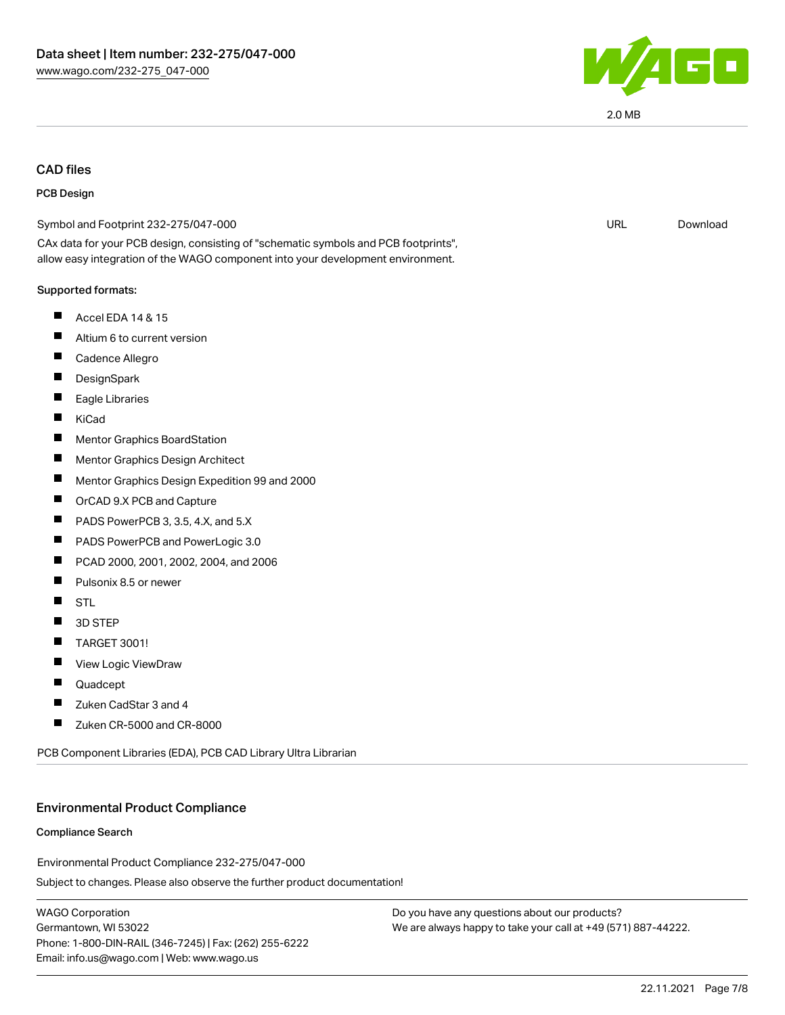

# CAD files

#### PCB Design

| Symbol and Footprint 232-275/047-000                                                                                                                                   | <b>URL</b> | Download |
|------------------------------------------------------------------------------------------------------------------------------------------------------------------------|------------|----------|
| CAx data for your PCB design, consisting of "schematic symbols and PCB footprints",<br>allow easy integration of the WAGO component into your development environment. |            |          |
| Supported formats:                                                                                                                                                     |            |          |
| Ш<br>Accel EDA 14 & 15                                                                                                                                                 |            |          |
| Altium 6 to current version<br>ш                                                                                                                                       |            |          |
| Ш<br>Cadence Allegro                                                                                                                                                   |            |          |
| ш<br>DesignSpark                                                                                                                                                       |            |          |
| Eagle Libraries                                                                                                                                                        |            |          |
| Ш<br>KiCad                                                                                                                                                             |            |          |
| <b>Mentor Graphics BoardStation</b><br>ш                                                                                                                               |            |          |
| ш<br>Mentor Graphics Design Architect                                                                                                                                  |            |          |
| П<br>Mentor Graphics Design Expedition 99 and 2000                                                                                                                     |            |          |
| П<br>OrCAD 9.X PCB and Capture                                                                                                                                         |            |          |
| PADS PowerPCB 3, 3.5, 4.X, and 5.X<br>ш                                                                                                                                |            |          |
| Ш<br>PADS PowerPCB and PowerLogic 3.0                                                                                                                                  |            |          |
| PCAD 2000, 2001, 2002, 2004, and 2006<br>ш                                                                                                                             |            |          |
| Pulsonix 8.5 or newer<br>H                                                                                                                                             |            |          |
| H<br><b>STL</b>                                                                                                                                                        |            |          |
| 3D STEP<br>П                                                                                                                                                           |            |          |
| <b>TARGET 3001!</b><br>Ш                                                                                                                                               |            |          |
| View Logic ViewDraw<br>Ш                                                                                                                                               |            |          |
| ш<br>Quadcept                                                                                                                                                          |            |          |
| Zuken CadStar 3 and 4                                                                                                                                                  |            |          |
| Zuken CR-5000 and CR-8000<br>Ш                                                                                                                                         |            |          |
|                                                                                                                                                                        |            |          |

PCB Component Libraries (EDA), PCB CAD Library Ultra Librarian

#### Environmental Product Compliance

#### Compliance Search

Environmental Product Compliance 232-275/047-000

Subject to changes. Please also observe the further product documentation!

WAGO Corporation Germantown, WI 53022 Phone: 1-800-DIN-RAIL (346-7245) | Fax: (262) 255-6222 Email: info.us@wago.com | Web: www.wago.us